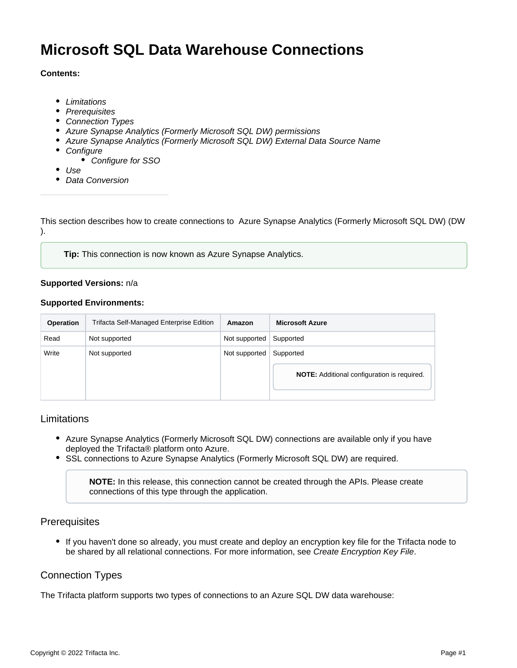# **Microsoft SQL Data Warehouse Connections**

#### **Contents:**

- [Limitations](#page-0-0)
- [Prerequisites](#page-0-1)
- [Connection Types](#page-0-2)
- [Azure Synapse Analytics \(Formerly Microsoft SQL DW\) permissions](#page-1-0)
- **[Azure Synapse Analytics \(Formerly Microsoft SQL DW\) External Data Source Name](#page-1-1)**
- [Configure](#page-2-0)
	- [Configure for SSO](#page-2-1)
- [Use](#page-3-0)
- [Data Conversion](#page-3-1)

This section describes how to create connections to Azure Synapse Analytics (Formerly Microsoft SQL DW) (DW ).

**Tip:** This connection is now known as Azure Synapse Analytics.

#### **Supported Versions:** n/a

#### **Supported Environments:**

| <b>Operation</b> | Trifacta Self-Managed Enterprise Edition | Amazon        | <b>Microsoft Azure</b>                             |  |
|------------------|------------------------------------------|---------------|----------------------------------------------------|--|
| Read             | Not supported                            | Not supported | Supported                                          |  |
| Write            | Not supported                            | Not supported | Supported                                          |  |
|                  |                                          |               | <b>NOTE:</b> Additional configuration is required. |  |

#### <span id="page-0-0"></span>Limitations

- Azure Synapse Analytics (Formerly Microsoft SQL DW) connections are available only if you have deployed the Trifacta® platform onto Azure.
- SSL connections to Azure Synapse Analytics (Formerly Microsoft SQL DW) are required.

**NOTE:** In this release, this connection cannot be created through the APIs. Please create connections of this type through the application.

#### <span id="page-0-1"></span>**Prerequisites**

If you haven't done so already, you must create and deploy an encryption key file for the Trifacta node to be shared by all relational connections. For more information, see [Create Encryption Key File](https://docs.trifacta.com/display/r087/Create+Encryption+Key+File).

# <span id="page-0-2"></span>Connection Types

The Trifacta platform supports two types of connections to an Azure SQL DW data warehouse: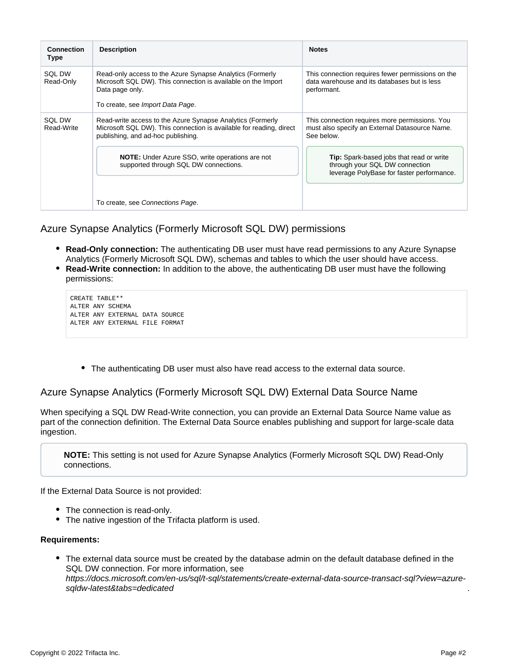| <b>Connection</b><br><b>Type</b> | <b>Description</b>                                                                                                                                                                                                                                                         | <b>Notes</b>                                                                                                                                                                                                                                     |  |
|----------------------------------|----------------------------------------------------------------------------------------------------------------------------------------------------------------------------------------------------------------------------------------------------------------------------|--------------------------------------------------------------------------------------------------------------------------------------------------------------------------------------------------------------------------------------------------|--|
| <b>SQL DW</b><br>Read-Only       | Read-only access to the Azure Synapse Analytics (Formerly<br>Microsoft SQL DW). This connection is available on the Import<br>Data page only.<br>To create, see Import Data Page.                                                                                          | This connection requires fewer permissions on the<br>data warehouse and its databases but is less<br>performant.                                                                                                                                 |  |
| SQL DW<br>Read-Write             | Read-write access to the Azure Synapse Analytics (Formerly<br>Microsoft SQL DW). This connection is available for reading, direct<br>publishing, and ad-hoc publishing.<br><b>NOTE:</b> Under Azure SSO, write operations are not<br>supported through SQL DW connections. | This connection requires more permissions. You<br>must also specify an External Datasource Name.<br>See below.<br><b>Tip:</b> Spark-based jobs that read or write<br>through your SQL DW connection<br>leverage PolyBase for faster performance. |  |
|                                  | To create, see Connections Page.                                                                                                                                                                                                                                           |                                                                                                                                                                                                                                                  |  |

## <span id="page-1-0"></span>Azure Synapse Analytics (Formerly Microsoft SQL DW) permissions

- **Read-Only connection:** The authenticating DB user must have read permissions to any Azure Synapse Analytics (Formerly Microsoft SQL DW), schemas and tables to which the user should have access.
- **Read-Write connection:** In addition to the above, the authenticating DB user must have the following permissions:

| CREATE TABLE**                 |  |  |  |  |  |
|--------------------------------|--|--|--|--|--|
| ALTER ANY SCHEMA               |  |  |  |  |  |
| ALTER ANY EXTERNAL DATA SOURCE |  |  |  |  |  |
| ALTER ANY EXTERNAL FILE FORMAT |  |  |  |  |  |

The authenticating DB user must also have read access to the external data source.

<span id="page-1-1"></span>Azure Synapse Analytics (Formerly Microsoft SQL DW) External Data Source Name

When specifying a SQL DW Read-Write connection, you can provide an External Data Source Name value as part of the connection definition. The External Data Source enables publishing and support for large-scale data ingestion.

**NOTE:** This setting is not used for Azure Synapse Analytics (Formerly Microsoft SQL DW) Read-Only connections.

If the External Data Source is not provided:

- The connection is read-only.
- The native ingestion of the Trifacta platform is used.

#### **Requirements:**

The external data source must be created by the database admin on the default database defined in the SQL DW connection. For more information, see [https://docs.microsoft.com/en-us/sql/t-sql/statements/create-external-data-source-transact-sql?view=azure](https://docs.microsoft.com/en-us/sql/t-sql/statements/create-external-data-source-transact-sql?view=azure-sqldw-latest&tabs=dedicated)sqldw-latest&tabs=dedicated

.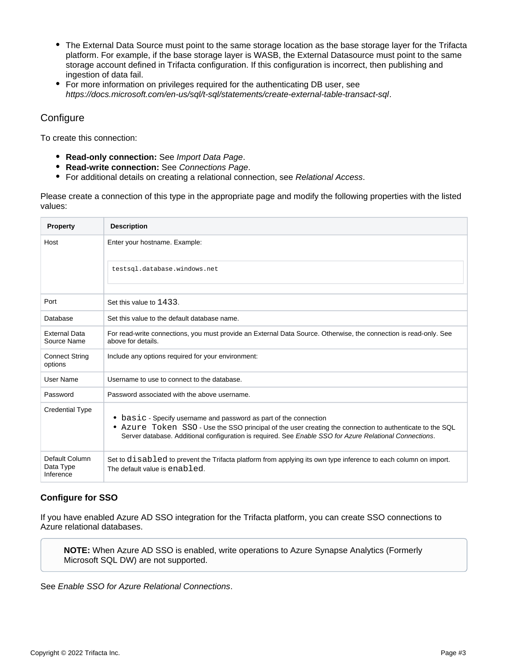- The External Data Source must point to the same storage location as the base storage layer for the Trifacta platform. For example, if the base storage layer is WASB, the External Datasource must point to the same storage account defined in Trifacta configuration. If this configuration is incorrect, then publishing and ingestion of data fail.
- For more information on privileges required for the authenticating DB user, see <https://docs.microsoft.com/en-us/sql/t-sql/statements/create-external-table-transact-sql>.

# <span id="page-2-0"></span>**Configure**

To create this connection:

- **Read-only connection:** See [Import Data Page](https://docs.trifacta.com/display/r087/Import+Data+Page).
- **Read-write connection:** See [Connections Page](https://docs.trifacta.com/display/r087/Connections+Page).
- For additional details on creating a relational connection, see [Relational Access](https://docs.trifacta.com/display/r087/Relational+Access).

Please create a connection of this type in the appropriate page and modify the following properties with the listed values:

| <b>Property</b>                          | <b>Description</b>                                                                                                                                                                                                                                                                       |  |
|------------------------------------------|------------------------------------------------------------------------------------------------------------------------------------------------------------------------------------------------------------------------------------------------------------------------------------------|--|
| Host                                     | Enter your hostname. Example:                                                                                                                                                                                                                                                            |  |
|                                          | testsql.database.windows.net                                                                                                                                                                                                                                                             |  |
| Port                                     | Set this value to 1433.                                                                                                                                                                                                                                                                  |  |
| Database                                 | Set this value to the default database name.                                                                                                                                                                                                                                             |  |
| <b>External Data</b><br>Source Name      | For read-write connections, you must provide an External Data Source. Otherwise, the connection is read-only. See<br>above for details.                                                                                                                                                  |  |
| <b>Connect String</b><br>options         | Include any options required for your environment:                                                                                                                                                                                                                                       |  |
| User Name                                | Username to use to connect to the database.                                                                                                                                                                                                                                              |  |
| Password                                 | Password associated with the above username.                                                                                                                                                                                                                                             |  |
| <b>Credential Type</b>                   | • basic - Specify username and password as part of the connection<br>• Azure Token SSO - Use the SSO principal of the user creating the connection to authenticate to the SQL<br>Server database. Additional configuration is required. See Enable SSO for Azure Relational Connections. |  |
| Default Column<br>Data Type<br>Inference | Set to disabled to prevent the Trifacta platform from applying its own type inference to each column on import.<br>The default value is enabled.                                                                                                                                         |  |

#### <span id="page-2-1"></span>**Configure for SSO**

If you have enabled Azure AD SSO integration for the Trifacta platform, you can create SSO connections to Azure relational databases.

**NOTE:** When Azure AD SSO is enabled, write operations to Azure Synapse Analytics (Formerly Microsoft SQL DW) are not supported.

See [Enable SSO for Azure Relational Connections](https://docs.trifacta.com/display/r087/Enable+SSO+for+Azure+Relational+Connections).